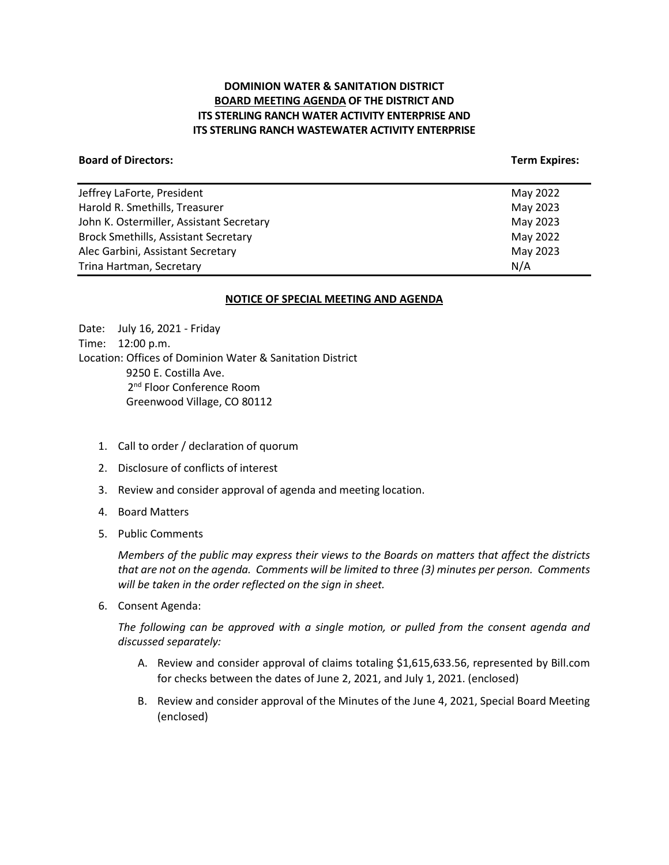# **DOMINION WATER & SANITATION DISTRICT BOARD MEETING AGENDA OF THE DISTRICT AND ITS STERLING RANCH WATER ACTIVITY ENTERPRISE AND ITS STERLING RANCH WASTEWATER ACTIVITY ENTERPRISE**

### **Board of Directors:** Term Expires: Term Expires: Term Expires: Term Expires: Term Expires: Term Expires: Term Expires: Term Expires: Term Expires: Term Expires: Term Expires: Term Expires: Term Expires: Term Expires: Term

| Jeffrey LaForte, President                  | May 2022 |
|---------------------------------------------|----------|
| Harold R. Smethills, Treasurer              | May 2023 |
| John K. Ostermiller, Assistant Secretary    | May 2023 |
| <b>Brock Smethills, Assistant Secretary</b> | May 2022 |
| Alec Garbini, Assistant Secretary           | May 2023 |
| Trina Hartman, Secretary                    | N/A      |
|                                             |          |

#### **NOTICE OF SPECIAL MEETING AND AGENDA**

Date: July 16, 2021 - Friday Time: 12:00 p.m. Location: Offices of Dominion Water & Sanitation District 9250 E. Costilla Ave. 2<sup>nd</sup> Floor Conference Room Greenwood Village, CO 80112

- 1. Call to order / declaration of quorum
- 2. Disclosure of conflicts of interest
- 3. Review and consider approval of agenda and meeting location.
- 4. Board Matters
- 5. Public Comments

*Members of the public may express their views to the Boards on matters that affect the districts that are not on the agenda. Comments will be limited to three (3) minutes per person. Comments will be taken in the order reflected on the sign in sheet.* 

6. Consent Agenda:

*The following can be approved with a single motion, or pulled from the consent agenda and discussed separately:*

- A. Review and consider approval of claims totaling \$1,615,633.56, represented by Bill.com for checks between the dates of June 2, 2021, and July 1, 2021. (enclosed)
- B. Review and consider approval of the Minutes of the June 4, 2021, Special Board Meeting (enclosed)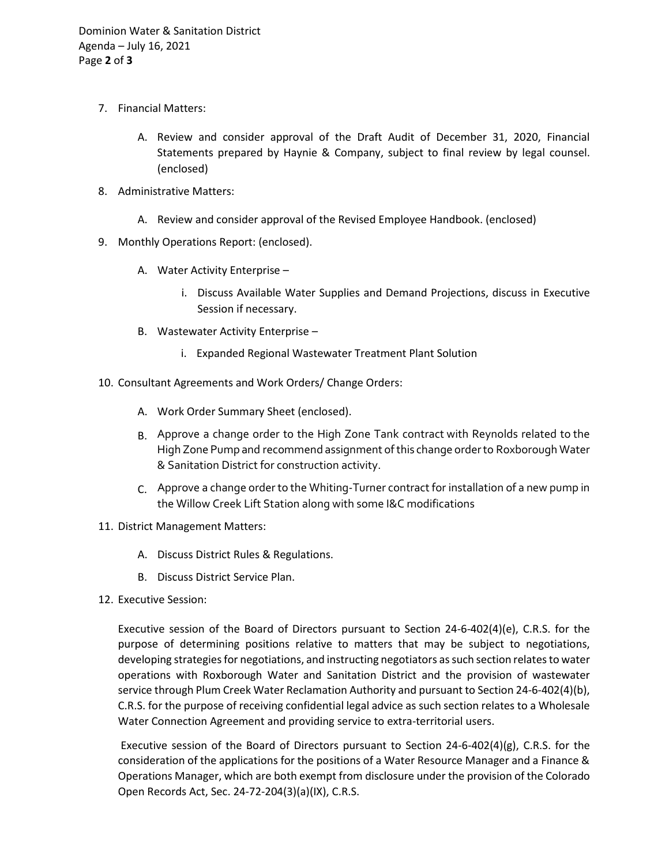- 7. Financial Matters:
	- A. Review and consider approval of the Draft Audit of December 31, 2020, Financial Statements prepared by Haynie & Company, subject to final review by legal counsel. (enclosed)
- 8. Administrative Matters:
	- A. Review and consider approval of the Revised Employee Handbook. (enclosed)
- 9. Monthly Operations Report: (enclosed).
	- A. Water Activity Enterprise
		- i. Discuss Available Water Supplies and Demand Projections, discuss in Executive Session if necessary.
	- B. Wastewater Activity Enterprise
		- i. Expanded Regional Wastewater Treatment Plant Solution
- 10. Consultant Agreements and Work Orders/ Change Orders:
	- A. Work Order Summary Sheet (enclosed).
	- B. Approve a change order to the High Zone Tank contract with Reynolds related to the High Zone Pump and recommend assignment of this change order to Roxborough Water & Sanitation District for construction activity.
	- $C<sub>c</sub>$  Approve a change order to the Whiting-Turner contract for installation of a new pump in the Willow Creek Lift Station along with some I&C modifications
- 11. District Management Matters:
	- A. Discuss District Rules & Regulations.
	- B. Discuss District Service Plan.
- 12. Executive Session:

Executive session of the Board of Directors pursuant to Section 24-6-402(4)(e), C.R.S. for the purpose of determining positions relative to matters that may be subject to negotiations, developing strategies for negotiations, and instructing negotiators as such section relates to water operations with Roxborough Water and Sanitation District and the provision of wastewater service through Plum Creek Water Reclamation Authority and pursuant to Section 24-6-402(4)(b), C.R.S. for the purpose of receiving confidential legal advice as such section relates to a Wholesale Water Connection Agreement and providing service to extra-territorial users.

Executive session of the Board of Directors pursuant to Section  $24-6-402(4)(g)$ , C.R.S. for the consideration of the applications for the positions of a Water Resource Manager and a Finance & Operations Manager, which are both exempt from disclosure under the provision of the Colorado Open Records Act, Sec. 24-72-204(3)(a)(IX), C.R.S.